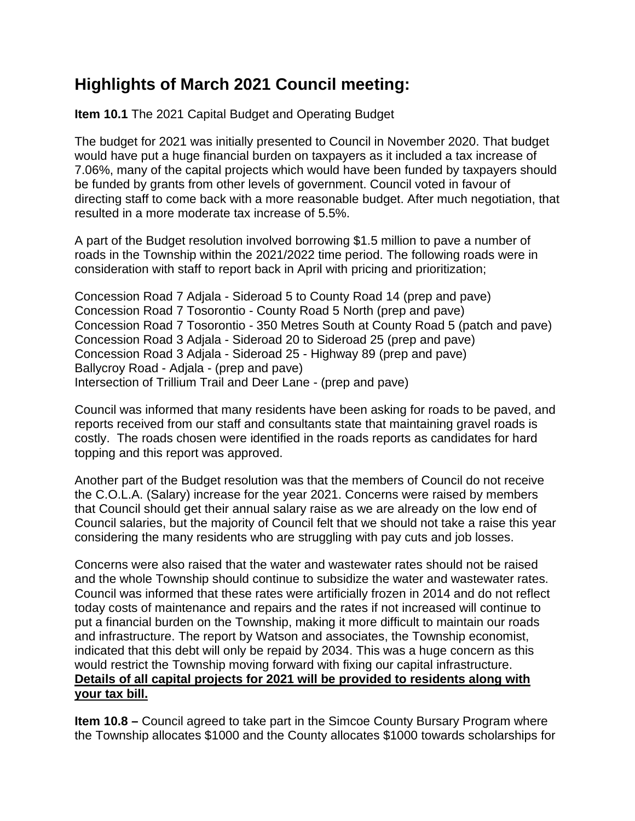## **Highlights of March 2021 Council meeting:**

**Item 10.1** The 2021 Capital Budget and Operating Budget

The budget for 2021 was initially presented to Council in November 2020. That budget would have put a huge financial burden on taxpayers as it included a tax increase of 7.06%, many of the capital projects which would have been funded by taxpayers should be funded by grants from other levels of government. Council voted in favour of directing staff to come back with a more reasonable budget. After much negotiation, that resulted in a more moderate tax increase of 5.5%.

A part of the Budget resolution involved borrowing \$1.5 million to pave a number of roads in the Township within the 2021/2022 time period. The following roads were in consideration with staff to report back in April with pricing and prioritization;

Concession Road 7 Adjala - Sideroad 5 to County Road 14 (prep and pave) Concession Road 7 Tosorontio - County Road 5 North (prep and pave) Concession Road 7 Tosorontio - 350 Metres South at County Road 5 (patch and pave) Concession Road 3 Adjala - Sideroad 20 to Sideroad 25 (prep and pave) Concession Road 3 Adjala - Sideroad 25 - Highway 89 (prep and pave) Ballycroy Road - Adjala - (prep and pave) Intersection of Trillium Trail and Deer Lane - (prep and pave)

Council was informed that many residents have been asking for roads to be paved, and reports received from our staff and consultants state that maintaining gravel roads is costly. The roads chosen were identified in the roads reports as candidates for hard topping and this report was approved.

Another part of the Budget resolution was that the members of Council do not receive the C.O.L.A. (Salary) increase for the year 2021. Concerns were raised by members that Council should get their annual salary raise as we are already on the low end of Council salaries, but the majority of Council felt that we should not take a raise this year considering the many residents who are struggling with pay cuts and job losses.

Concerns were also raised that the water and wastewater rates should not be raised and the whole Township should continue to subsidize the water and wastewater rates. Council was informed that these rates were artificially frozen in 2014 and do not reflect today costs of maintenance and repairs and the rates if not increased will continue to put a financial burden on the Township, making it more difficult to maintain our roads and infrastructure. The report by Watson and associates, the Township economist, indicated that this debt will only be repaid by 2034. This was a huge concern as this would restrict the Township moving forward with fixing our capital infrastructure. **Details of all capital projects for 2021 will be provided to residents along with your tax bill.**

**Item 10.8 –** Council agreed to take part in the Simcoe County Bursary Program where the Township allocates \$1000 and the County allocates \$1000 towards scholarships for